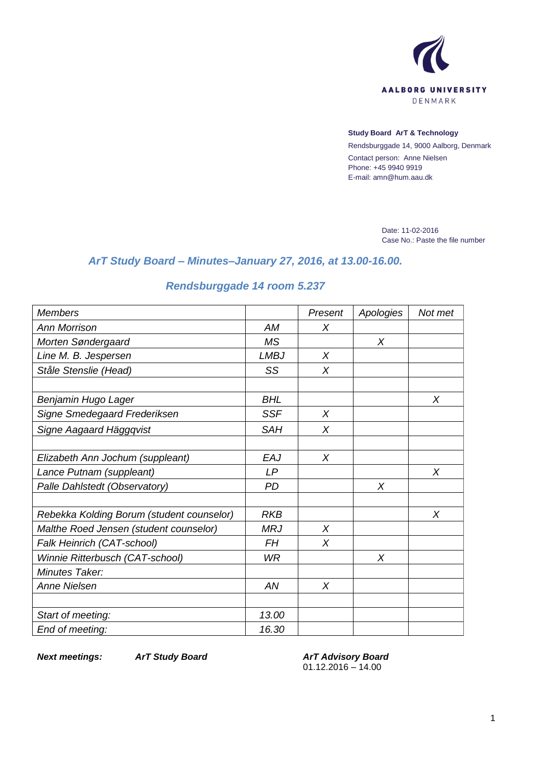

### **Study Board ArT & Technology**

Rendsburggade 14, 9000 Aalborg, Denmark Contact person: Anne Nielsen Phone: +45 9940 9919 E-mail: amn@hum.aau.dk

> Date: 11-02-2016 Case No.: Paste the file number

# *ArT Study Board – Minutes–January 27, 2016, at 13.00-16.00.*

# *Rendsburggade 14 room 5.237*

| <b>Members</b>                            |             | Present | Apologies | Not met |
|-------------------------------------------|-------------|---------|-----------|---------|
| Ann Morrison                              | AM          | X       |           |         |
| Morten Søndergaard                        | <b>MS</b>   |         | $\chi$    |         |
| Line M. B. Jespersen                      | <b>LMBJ</b> | X       |           |         |
| Ståle Stenslie (Head)                     | SS          | $\chi$  |           |         |
|                                           |             |         |           |         |
| Benjamin Hugo Lager                       | <b>BHL</b>  |         |           | X       |
| Signe Smedegaard Frederiksen              | <b>SSF</b>  | $\chi$  |           |         |
| Signe Aagaard Häggqvist                   | <b>SAH</b>  | $\chi$  |           |         |
|                                           |             |         |           |         |
| Elizabeth Ann Jochum (suppleant)          | EAJ         | $\chi$  |           |         |
| Lance Putnam (suppleant)                  | LP          |         |           | X       |
| Palle Dahlstedt (Observatory)             | <b>PD</b>   |         | X         |         |
|                                           |             |         |           |         |
| Rebekka Kolding Borum (student counselor) | <b>RKB</b>  |         |           | X       |
| Malthe Roed Jensen (student counselor)    | <b>MRJ</b>  | $\chi$  |           |         |
| Falk Heinrich (CAT-school)                | <b>FH</b>   | $\chi$  |           |         |
| Winnie Ritterbusch (CAT-school)           | <b>WR</b>   |         | X         |         |
| Minutes Taker:                            |             |         |           |         |
| Anne Nielsen                              | AN          | $\chi$  |           |         |
|                                           |             |         |           |         |
| Start of meeting:                         | 13.00       |         |           |         |
| End of meeting:                           | 16.30       |         |           |         |

*Next meetings: ArT Study Board ArT Advisory Board* 01.12.2016 – 14.00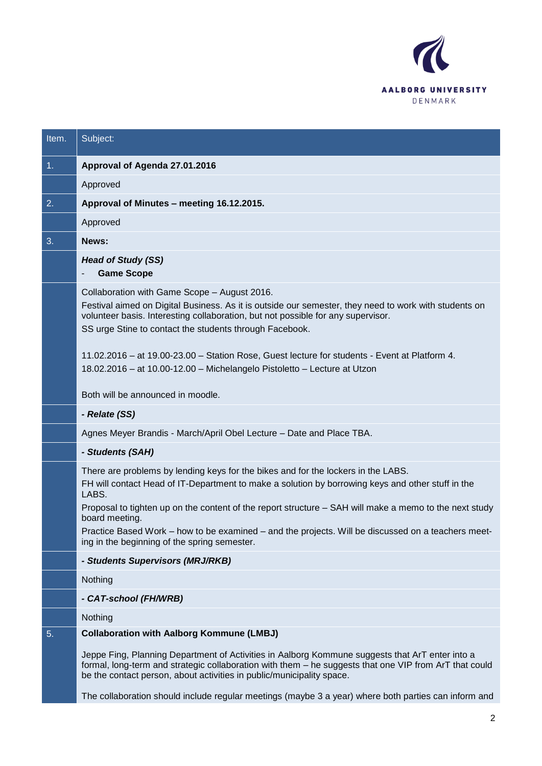

| Item. | Subject:                                                                                                                                                                                                                                                                                                                                                                                              |
|-------|-------------------------------------------------------------------------------------------------------------------------------------------------------------------------------------------------------------------------------------------------------------------------------------------------------------------------------------------------------------------------------------------------------|
| 1.    | Approval of Agenda 27.01.2016                                                                                                                                                                                                                                                                                                                                                                         |
|       | Approved                                                                                                                                                                                                                                                                                                                                                                                              |
| 2.    | Approval of Minutes - meeting 16.12.2015.                                                                                                                                                                                                                                                                                                                                                             |
|       | Approved                                                                                                                                                                                                                                                                                                                                                                                              |
| 3.    | News:                                                                                                                                                                                                                                                                                                                                                                                                 |
|       | <b>Head of Study (SS)</b><br><b>Game Scope</b>                                                                                                                                                                                                                                                                                                                                                        |
|       | Collaboration with Game Scope - August 2016.<br>Festival aimed on Digital Business. As it is outside our semester, they need to work with students on<br>volunteer basis. Interesting collaboration, but not possible for any supervisor.<br>SS urge Stine to contact the students through Facebook.<br>11.02.2016 - at 19.00-23.00 - Station Rose, Guest lecture for students - Event at Platform 4. |
|       | 18.02.2016 - at 10.00-12.00 - Michelangelo Pistoletto - Lecture at Utzon<br>Both will be announced in moodle.                                                                                                                                                                                                                                                                                         |
|       | - Relate (SS)                                                                                                                                                                                                                                                                                                                                                                                         |
|       | Agnes Meyer Brandis - March/April Obel Lecture - Date and Place TBA.                                                                                                                                                                                                                                                                                                                                  |
|       | - Students (SAH)                                                                                                                                                                                                                                                                                                                                                                                      |
|       | There are problems by lending keys for the bikes and for the lockers in the LABS.<br>FH will contact Head of IT-Department to make a solution by borrowing keys and other stuff in the<br>LABS.<br>Proposal to tighten up on the content of the report structure – SAH will make a memo to the next study                                                                                             |
|       | board meeting.<br>Practice Based Work – how to be examined – and the projects. Will be discussed on a teachers meet-<br>ing in the beginning of the spring semester.                                                                                                                                                                                                                                  |
|       | - Students Supervisors (MRJ/RKB)                                                                                                                                                                                                                                                                                                                                                                      |
|       | Nothing                                                                                                                                                                                                                                                                                                                                                                                               |
|       | - CAT-school (FH/WRB)                                                                                                                                                                                                                                                                                                                                                                                 |
|       | Nothing                                                                                                                                                                                                                                                                                                                                                                                               |
| 5.    | <b>Collaboration with Aalborg Kommune (LMBJ)</b>                                                                                                                                                                                                                                                                                                                                                      |
|       | Jeppe Fing, Planning Department of Activities in Aalborg Kommune suggests that ArT enter into a<br>formal, long-term and strategic collaboration with them - he suggests that one VIP from ArT that could<br>be the contact person, about activities in public/municipality space.                                                                                                                    |
|       | The collaboration should include regular meetings (maybe 3 a year) where both parties can inform and                                                                                                                                                                                                                                                                                                  |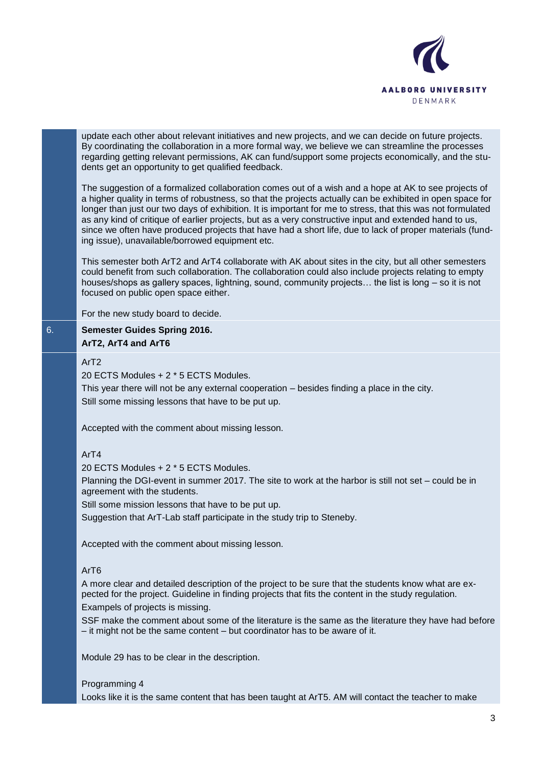

update each other about relevant initiatives and new projects, and we can decide on future projects. By coordinating the collaboration in a more formal way, we believe we can streamline the processes regarding getting relevant permissions, AK can fund/support some projects economically, and the students get an opportunity to get qualified feedback.

The suggestion of a formalized collaboration comes out of a wish and a hope at AK to see projects of a higher quality in terms of robustness, so that the projects actually can be exhibited in open space for longer than just our two days of exhibition. It is important for me to stress, that this was not formulated as any kind of critique of earlier projects, but as a very constructive input and extended hand to us, since we often have produced projects that have had a short life, due to lack of proper materials (funding issue), unavailable/borrowed equipment etc.

This semester both ArT2 and ArT4 collaborate with AK about sites in the city, but all other semesters could benefit from such collaboration. The collaboration could also include projects relating to empty houses/shops as gallery spaces, lightning, sound, community projects... the list is long – so it is not focused on public open space either.

For the new study board to decide.

## 6. **Semester Guides Spring 2016. ArT2, ArT4 and ArT6**

## ArT2

20 ECTS Modules + 2 \* 5 ECTS Modules.

This year there will not be any external cooperation – besides finding a place in the city. Still some missing lessons that have to be put up.

Accepted with the comment about missing lesson.

## ArT4

20 ECTS Modules + 2 \* 5 ECTS Modules.

Planning the DGI-event in summer 2017. The site to work at the harbor is still not set – could be in agreement with the students.

Still some mission lessons that have to be put up.

Suggestion that ArT-Lab staff participate in the study trip to Steneby.

Accepted with the comment about missing lesson.

### ArT6

A more clear and detailed description of the project to be sure that the students know what are expected for the project. Guideline in finding projects that fits the content in the study regulation. Exampels of projects is missing.

SSF make the comment about some of the literature is the same as the literature they have had before – it might not be the same content – but coordinator has to be aware of it.

Module 29 has to be clear in the description.

#### Programming 4

Looks like it is the same content that has been taught at ArT5. AM will contact the teacher to make

3